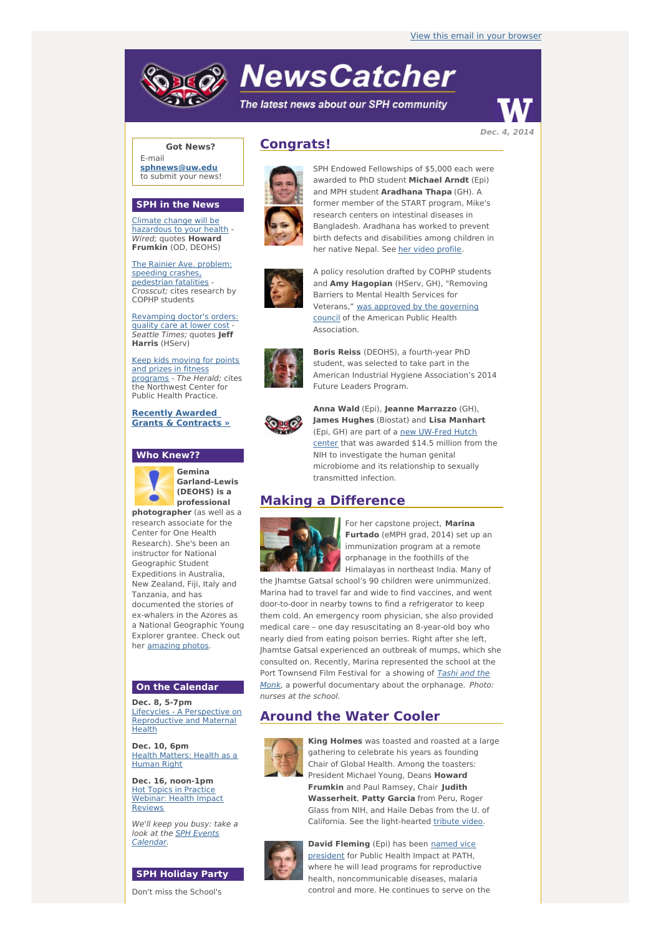# **NewsCatcher**

The latest news about our SPH community



**Got News?**

E-mail **[sphnews@uw.edu](mailto:sphnews@uw.edu)** to submit your news!

#### **SPH in the News**

Climate change will be [hazardous](http://engage.washington.edu/site/R?i=F4FVeavpE-NQWjnFxko68w) to your health - Wired; quotes **Howard Frumkin** (OD, DEOHS)

The Rainier Ave. problem: speeding crashes, [pedestrian](http://engage.washington.edu/site/R?i=vyKoJrvhRHajf-9GUz-dMw) fatalities - Crosscut: cites research by COPHP students

[Revamping](http://engage.washington.edu/site/R?i=fp_wV7ID4SQ7Vz81BVwJqQ) doctor's orders: quality care at lower cost - Seattle Times; quotes **Jeff Harris** (HServ)

Keep kids moving for points and prizes in fitness [programs](http://engage.washington.edu/site/R?i=yI7l5lIJAZiyzknhaPCMvQ) - The Herald: cites the Northwest Center for Public Health Practice.

**Recently Awarded Grants & [Contracts](http://engage.washington.edu/site/R?i=dgp4JnHcjrsSl4wo089eKw) »**

#### **Who Knew??**



**Gemina Garland-Lewis (DEOHS) is a professional**

**photographer** (as well as a research associate for the Center for One Health Research). She's been an instructor for National Geographic Student Expeditions in Australia, New Zealand, Fiji, Italy and Tanzania, and has documented the stories of ex-whalers in the Azores as a National Geographic Young Explorer grantee. Check out her [amazing](http://engage.washington.edu/site/R?i=ySEf-xo_hF5VYlncWTplGQ) photos.

#### **On the Calendar**

**Dec. 8, 5-7pm** Lifecycles - A Perspective on [Reproductive](http://engage.washington.edu/site/R?i=I8HKmpZRfpWTeGA1egE8aw) and Maternal Health

**Dec. 10, 6pm** Health [Matters:](http://engage.washington.edu/site/R?i=0ppw6ZNsMr8L50M6eRtEHQ) Health as a Human Right

**Dec. 16, noon-1pm** Hot Topics in Practice [Webinar:](http://engage.washington.edu/site/R?i=ak-DJHUXuIOF6uTLQIYZGQ) Health Impact **Reviews** 

We'll keep you busy: take a look at the **SPH Events** [Calendar.](http://engage.washington.edu/site/R?i=TYyfepnhhy5bfWJ8FLaUNw)

#### **SPH Holiday Party**

Don't miss the School's

## **Congrats!**



SPH Endowed Fellowships of \$5,000 each were awarded to PhD student **Michael Arndt** (Epi) and MPH student **Aradhana Thapa** (GH). A former member of the START program, Mike's research centers on intestinal diseases in Bangladesh. Aradhana has worked to prevent birth defects and disabilities among children in her native Nepal. See her video [profile](http://engage.washington.edu/site/R?i=egWp5WLp_V7tikgTt6uDTQ).



A policy resolution drafted by COPHP students and **Amy Hagopian** (HServ, GH), "Removing Barriers to Mental Health Services for [Veterans,"](http://engage.washington.edu/site/R?i=ydCpHNZibdFIiTDzH0qopA) was approved by the governing council of the American Public Health Association.



**Boris Reiss** (DEOHS), a fourth-year PhD student, was selected to take part in the American Industrial Hygiene Association's 2014 Future Leaders Program.



**Anna Wald** (Epi), **Jeanne Marrazzo** (GH), **James Hughes** (Biostat) and **Lisa Manhart** (Epi, GH) are part of a new [UW-Fred](http://engage.washington.edu/site/R?i=tHa31XvPkQtcFgCNlAvP8Q) Hutch center that was awarded \$14.5 million from the NIH to investigate the human genital microbiome and its relationship to sexually transmitted infection.

### **Making a Difference**



For her capstone project, **Marina Furtado** (eMPH grad, 2014) set up an immunization program at a remote orphanage in the foothills of the Himalayas in northeast India. Many of

the Jhamtse Gatsal school's 90 children were unimmunized. Marina had to travel far and wide to find vaccines, and went door-to-door in nearby towns to find a refrigerator to keep them cold. An emergency room physician, she also provided medical care – one day resuscitating an 8-year-old boy who nearly died from eating poison berries. Right after she left, Jhamtse Gatsal experienced an outbreak of mumps, which she consulted on. Recently, Marina represented the school at the Port Townsend Film Festival for a showing of **Tashi and the** Monk, a powerful [documentary](http://engage.washington.edu/site/R?i=0L33rkz8ypz0Af9WtBQfwA) about the orphanage. Photo: nurses at the school.

## **Around the Water Cooler**



**King Holmes** was toasted and roasted at a large gathering to celebrate his years as founding Chair of Global Health. Among the toasters: President Michael Young, Deans **Howard Frumkin** and Paul Ramsey, Chair **Judith Wasserheit**, **Patty Garcia** from Peru, Roger Glass from NIH, and Haile Debas from the U. of California. See the light-hearted [tribute](http://engage.washington.edu/site/R?i=zdt-awLItHmLbtCYswABzQ) video.



**David [Fleming](http://engage.washington.edu/site/R?i=bhLVyJbORQVNiu0x67RwpQ)** (Epi) has been named vice president for Public Health Impact at PATH, where he will lead programs for reproductive health, noncommunicable diseases, malaria control and more. He continues to serve on the